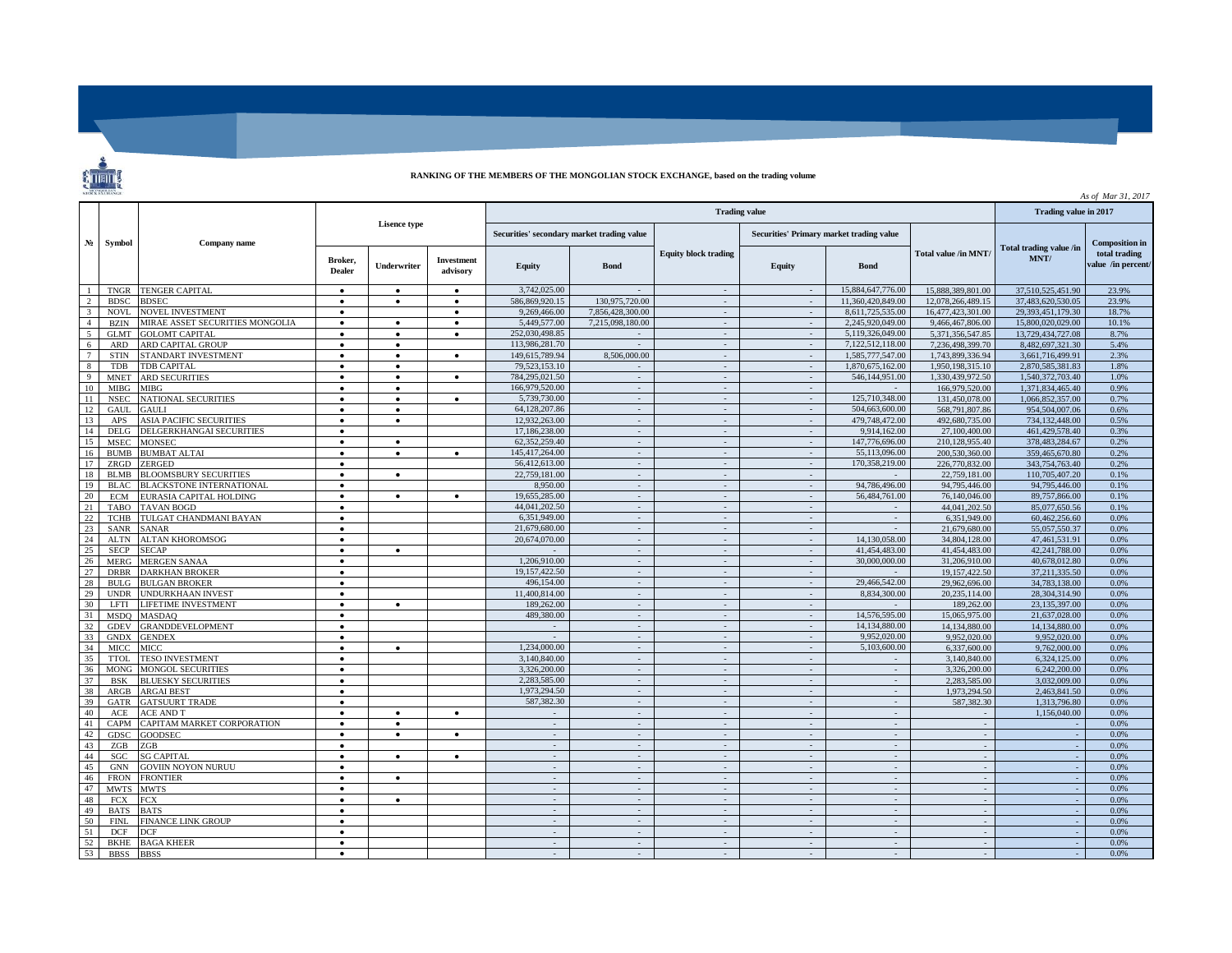**RANKING OF THE MEMBERS OF THE MONGOLIAN STOCK EXCHANGE, based on the trading volume**

|        |             |                                 |                     |           |                          |                                            |                               |                |                                          |                             |                   | As of Mar 31, 2017 |                      |
|--------|-------------|---------------------------------|---------------------|-----------|--------------------------|--------------------------------------------|-------------------------------|----------------|------------------------------------------|-----------------------------|-------------------|--------------------|----------------------|
| $N_2$  | Symbol      | Company name                    | <b>Lisence type</b> |           |                          |                                            | Trading value in 2017         |                |                                          |                             |                   |                    |                      |
|        |             |                                 |                     |           |                          | Securities' secondary market trading value |                               |                | Securities' Primary market trading value |                             |                   |                    |                      |
|        |             |                                 |                     |           | Broker.<br><b>Dealer</b> | Underwriter                                | <b>Investment</b><br>advisory | <b>Equity</b>  | <b>Bond</b>                              | <b>Equity block trading</b> | Equity            | <b>Bond</b>        | Total value /in MNT/ |
|        | <b>TNGR</b> | <b>TENGER CAPITAL</b>           | $\bullet$           | $\bullet$ | $\bullet$                | 3,742,025.00                               |                               | $\sim$         | $\sim$                                   | 15,884,647,776.00           | 15,888,389,801.00 | 37.510.525.451.90  | 23.9%                |
|        | <b>BDSC</b> | <b>BDSEC</b>                    | $\bullet$           | $\bullet$ | $\bullet$                | 586.869.920.15                             | 130,975,720.00                | $\sim$         | $\sim$                                   | 11.360.420.849.00           | 12,078,266,489.15 | 37.483.620.530.05  | 23.9%                |
|        | NOVL        | <b>NOVEL INVESTMENT</b>         | $\bullet$           |           | $\bullet$                | 9,269,466.00                               | 7,856,428,300.00              | $\sim$         |                                          | 8,611,725,535.00            | 16,477,423,301.00 | 29,393,451,179.30  | 18.7%                |
|        | <b>BZIN</b> | MIRAE ASSET SECURITIES MONGOLIA | $\bullet$           | ٠         | $\bullet$                | 5.449,577.00                               | 7,215,098,180.00              | $\sim$         | $\sim$                                   | 2,245,920,049.00            | 9,466,467,806.00  | 15,800,020,029.00  | 10.1%                |
| $\leq$ | <b>GLMT</b> | <b>GOLOMT CAPITAL</b>           | $\bullet$           | $\bullet$ | $\bullet$                | 252,030,498.85                             |                               | $\sim$         | $\sim$                                   | 5,119,326,049.00            | 5,371,356,547.85  | 13,729,434,727.08  | 8.7%                 |
|        | ARD         | ARD CAPITAL GROUP               | $\bullet$           | ٠         |                          | 113,986,281.70                             | $\sim$                        | $\sim$         | $\sim$                                   | 7.122.512.118.00            | 7.236.498.399.70  | 8,482,697,321.30   | 5.4%                 |
| 7      | <b>STIN</b> | STANDART INVESTMENT             | $\bullet$           | $\bullet$ | $\bullet$                | 149.615.789.94                             | 8,506,000.00                  | $\sim$         | $\sim$                                   | 1.585.777.547.00            | 1,743,899,336.94  | 3,661,716,499.91   | 2.3%                 |
| 8      | <b>TDB</b>  | TDB CAPITAL                     | $\bullet$           | $\bullet$ |                          | 79.523.153.10                              | $\sim$                        | $\sim$         | $\sim$                                   | 1.870.675.162.00            | 1.950.198.315.10  | 2.870.585.381.83   | 1.8%                 |
| Q      | <b>MNET</b> | <b>ARD SECURITIES</b>           | $\bullet$           | $\bullet$ | $\bullet$                | 784.295.021.50                             | $\sim$                        | $\sim$         | $\sim$                                   | 546.144.951.00              | 1.330.439.972.50  | 1.540.372.703.40   | 1.0%                 |
|        | <b>MIBG</b> | <b>MIBG</b>                     | $\bullet$           | $\bullet$ |                          | 166,979,520.00                             |                               |                |                                          |                             | 166,979,520.00    | 1.371.834.465.40   | 0.9%                 |
| 11     | <b>NSEC</b> | NATIONAL SECURITIES             | $\bullet$           | $\bullet$ | $\bullet$                | 5,739,730.00                               | $\sim$                        | $\sim$         | $\sim$                                   | 125,710,348.00              | 131,450,078,00    | 1.066.852.357.00   | 0.7%                 |
| 12     | GAUL        | GAULI                           | $\bullet$           | $\bullet$ |                          | 64,128,207.86                              | $\mathbb{Z}^+$                | $\sim$         | $\sim$                                   | 504,663,600.00              | 568,791,807.86    | 954,504,007.06     | 0.6%                 |
| 13     | APS         | <b>ASIA PACIFIC SECURITIES</b>  | $\bullet$           | $\bullet$ |                          | 12,932,263,00                              | $\sim$                        | $\sim$         | $\sim$                                   | 479,748,472.00              | 492,680,735.00    | 734,132,448.00     | 0.5%                 |
| 14     | <b>DELG</b> | DELGERKHANGAI SECURITIES        | $\bullet$           |           |                          | 17,186,238.00                              | $\sim$                        | $\sim$         | $\sim$                                   | 9,914,162.00                | 27,100,400.00     | 461,429,578.40     | 0.3%                 |
| 15     | <b>MSEC</b> | MONSEC                          | $\bullet$           | $\bullet$ |                          | 62,352,259.40                              | $\sim$                        | $\sim$         | $\sim$                                   | 147,776,696.00              | 210,128,955.40    | 378,483,284.67     | 0.2%                 |
| 16     | <b>BUMB</b> | <b>BUMBAT ALTAI</b>             | $\bullet$           | $\bullet$ | $\bullet$                | 145.417.264.00                             | $\sim$                        | $\sim$         | $\sim$                                   | 55.113.096.00               | 200.530.360.00    | 359,465,670.80     | 0.2%                 |
| 17     | ZRGD        | ZERGED                          | $\bullet$           |           |                          | 56,412,613.00                              | $\sim$                        | $\bar{a}$      | $\sim$                                   | 170,358,219.00              | 226,770,832.00    | 343,754,763.40     | 0.2%                 |
| 18     | <b>BLMB</b> | <b>BLOOMSBURY SECURITIES</b>    | $\bullet$           | $\bullet$ |                          | 22,759,181.00                              | $\sim$                        | $\sim$         | $\sim$                                   |                             | 22,759,181.00     | 110.705.407.20     | 0.1%                 |
|        | BLAC.       | <b>BLACKSTONE INTERNATIONAL</b> | $\bullet$           |           |                          | 8,950.00                                   | $\sim$                        | $\sim$         |                                          | 94,786,496.00               | 94,795,446.00     | 94,795,446.00      | 0.1%                 |
| 20     | ECM         | EURASIA CAPITAL HOLDING         | $\bullet$           | ٠         | $\bullet$                | 19,655,285.00                              | $\sim$                        | $\sim$         | $\sim$                                   | 56,484,761.00               | 76,140,046.00     | 89,757,866.00      | 0.1%                 |
| 21     | <b>TABO</b> | <b>TAVAN BOGD</b>               | $\bullet$           |           |                          | 44.041.202.50                              | $\mathcal{L}^{\mathcal{A}}$   | $\sim$         | $\sim$                                   |                             | 44.041.202.50     | 85,077,650.56      | 0.1%                 |
| 22     | TCHB        | TULGAT CHANDMANI BAYAN          | $\bullet$           |           |                          | 6.351.949.00                               | $\sim$                        | $\sim$         | $\sim$                                   | $\sim$                      | 6.351.949.00      | 60,462,256.60      | 0.0%                 |
| 23     | <b>SANR</b> | <b>SANAR</b>                    | $\bullet$           |           |                          | 21.679.680.00                              | $\sim$                        | $\sim$         | $\sim$                                   |                             | 21,679,680,00     | 55,057,550.37      | 0.0%                 |
| 24     | <b>ALTN</b> | <b>ALTAN KHOROMSOG</b>          | $\bullet$           |           |                          | 20,674,070.00                              | $\sim$                        | $\sim$         | $\sim$                                   | 14,130,058.00               | 34,804,128,00     | 47,461,531.91      | 0.0%                 |
| 25     | <b>SECP</b> | <b>SECAP</b>                    | $\bullet$           | $\bullet$ |                          |                                            | $\sim$                        | $\sim$         | $\sim$                                   | 41,454,483.00               | 41,454,483,00     | 42,241,788.00      | 0.0%                 |
| 26     | <b>MERG</b> | <b>MERGEN SANAA</b>             | $\bullet$           |           |                          | 1,206,910.00                               |                               | $\omega$       |                                          | 30,000,000,00               | 31,206,910.00     | 40,678,012.80      | 0.0%                 |
| 27     | <b>DRBR</b> | <b>DARKHAN BROKER</b>           | $\bullet$           |           |                          | 19,157,422.50                              | $\sim$                        | $\sim$         | $\sim$                                   | $\sim$                      | 19,157,422.50     | 37.211.335.50      | 0.0%                 |
| 28     | <b>BULG</b> | <b>BULGAN BROKER</b>            | $\bullet$           |           |                          | 496,154.00                                 | $\mathcal{L}^{\mathcal{A}}$   | $\sim$         | $\sim$                                   | 29,466,542.00               | 29,962,696.00     | 34,783,138,00      | 0.0%                 |
| 29     | <b>UNDR</b> | <b>UNDURKHAAN INVEST</b>        | $\bullet$           |           |                          | 11.400.814.00                              | $\sim$                        | $\sim$         | $\sim$                                   | 8.834.300.00                | 20.235.114.00     | 28.304.314.90      | 0.0%                 |
| 30     | <b>LFTI</b> | LIFETIME INVESTMENT             | $\bullet$           | $\bullet$ |                          | 189,262.00                                 | $\sim$                        | $\sim$         | $\sim$                                   |                             | 189,262.00        | 23.135.397.00      | 0.0%                 |
| 31     | <b>MSDO</b> | <b>MASDAQ</b>                   | $\bullet$           |           |                          | 489,380.00                                 | $\sim$                        | $\sim$         | $\sim$                                   | 14,576,595.00               | 15,065,975.00     | 21.637.028.00      | 0.0%                 |
| 32     | <b>GDEV</b> | <b>GRANDDEVELOPMENT</b>         | $\bullet$           |           |                          | $\sim$                                     | $\sim$                        | $\sim$         | $\sim$                                   | 14,134,880.00               | 14,134,880.00     | 14.134.880.00      | 0.0%                 |
| 33     | <b>GNDX</b> | <b>GENDEX</b>                   | $\bullet$           |           |                          |                                            | $\sim$                        | $\sim$         | $\sim$                                   | 9.952.020.00                | 9.952.020.00      | 9.952.020.00       | 0.0%                 |
| 34     | <b>MICC</b> | <b>MICC</b>                     | $\bullet$           | $\bullet$ |                          | 1.234,000.00                               | $\sim$                        | $\sim$         | $\sim$                                   | 5.103,600.00                | 6,337,600.00      | 9,762,000.00       | 0.0%                 |
| 35     | <b>TTOL</b> | <b>TESO INVESTMENT</b>          | $\bullet$           |           |                          | 3.140.840.00                               | $\mathcal{L}^{\mathcal{A}}$   | $\mathbb{Z}^+$ |                                          |                             | 3.140.840.00      | 6.324.125.00       | 0.0%                 |
| 36     | <b>MONG</b> | <b>MONGOL SECURITIES</b>        | $\bullet$           |           |                          | 3.326,200.00                               | $\sim$                        | $\sim$         | $\sim$                                   | $\sim$                      | 3,326,200.00      | 6.242.200.00       | 0.0%                 |
| 37     | <b>BSK</b>  | <b>BLUESKY SECURITIES</b>       | $\bullet$           |           |                          | 2,283,585.00                               | $\sim$                        | $\sim$         | $\sim$                                   | $\sim$                      | 2,283,585.00      | 3,032,009.00       | 0.0%                 |
| 38     | ARGB        | <b>ARGAI BEST</b>               | $\bullet$           |           |                          | 1,973,294.50                               | $\sim$                        | $\sim$         | $\sim$                                   | $\sim$                      | 1,973,294.50      | 2,463,841.50       | 0.0%                 |
| 39     | <b>GATR</b> | <b>GATSUURT TRADE</b>           | $\bullet$           |           |                          | 587,382.30                                 | $\sim$                        | $\sim$         | $\sim$                                   | $\sim$                      | 587,382.30        | 1,313,796.80       | 0.0%                 |
| 40     | ACE         | ACE AND T                       | $\bullet$           | $\bullet$ | $\bullet$                | $\sim$                                     | $\sim$                        | $\sim$         | $\sim$                                   | $\sim$                      | $\sim$            | 1,156,040.00       | 0.0%                 |
| 41     | CAPM        | CAPITAM MARKET CORPORATION      | $\bullet$           | $\bullet$ |                          | $\sim$                                     | $\sim$                        | $\sim$         | $\sim$                                   | $\sim$                      | $\sim$            |                    | 0.0%                 |
| 42     | GDSC        | <b>GOODSEC</b>                  | $\bullet$           | $\bullet$ | $\bullet$                |                                            | ÷.                            |                |                                          | $\mathbf{r}$                |                   |                    | 0.0%                 |
| 43     | ZGB         | ZGB                             | $\bullet$           |           |                          | $\sim$                                     | $\sim$                        | $\sim$         | $\sim$                                   | $\sim$                      |                   |                    | 0.0%                 |
| 44     | SGC         | <b>SG CAPITAL</b>               | $\bullet$           | $\bullet$ | $\bullet$                | $\sim$                                     | $\mathcal{L}^{\mathcal{A}}$   | $\sim$         | $\sim$                                   | $\sim$                      | ÷.                |                    | 0.0%                 |
| 45     | <b>GNN</b>  | <b>GOVIIN NOYON NURUU</b>       | $\bullet$           |           |                          | $\sim$                                     | $\sim$                        | $\sim$         | $\sim$                                   | $\sim$                      |                   |                    | 0.0%                 |
| 46     | <b>FRON</b> | <b>FRONTIER</b>                 | $\bullet$           | $\bullet$ |                          | $\sim$                                     | $\sim$                        | $\sim$         | $\sim$                                   | $\sim$                      | i.                |                    | 0.0%                 |
| 47     | <b>MWTS</b> | <b>MWTS</b>                     | $\bullet$           |           |                          | $\sim$                                     | $\sim$                        | $\sim$         | $\sim$                                   | $\sim$                      | $\sim$            |                    | 0.0%                 |
| 48     | <b>FCX</b>  | <b>FCX</b>                      | $\bullet$           | $\bullet$ |                          | $\sim$                                     | $\sim$                        | $\sim$         | $\sim$                                   | $\sim$                      |                   |                    | 0.0%                 |
| 49     | <b>BATS</b> | <b>BATS</b>                     | $\bullet$           |           |                          | $\sim$                                     | $\sim$                        | $\sim$         | $\sim$                                   | $\mathbb{Z}^+$              | ÷.                |                    | 0.0%                 |
| 50     | <b>FINL</b> | <b>FINANCE LINK GROUP</b>       | $\bullet$           |           |                          | $\sim$                                     | $\sim$                        | $\sim$         | $\sim$                                   | $\sim$                      |                   |                    | 0.0%                 |
| 51     | <b>DCF</b>  | DCF                             | $\bullet$           |           |                          | $\mathcal{L}$                              | $\sim$                        | $\omega$       | $\sim$                                   | $\omega$                    | $\sim$            |                    | 0.0%                 |
| 52     | <b>BKHE</b> | <b>BAGA KHEER</b>               | $\bullet$           |           |                          | $\sim$                                     | $\sim$                        | $\sim$         | $\sim$                                   | $\sim$                      |                   |                    | 0.0%                 |
| 53     | <b>BBSS</b> | <b>BBSS</b>                     | $\bullet$           |           |                          | $\sim$                                     | $\mathcal{L}$                 | ÷.             | $\mathcal{L}$                            | $\mathcal{L}$               | ÷.                |                    | 0.0%                 |

 $rac{8}{3}$ 

 $\overline{\phantom{0}}$